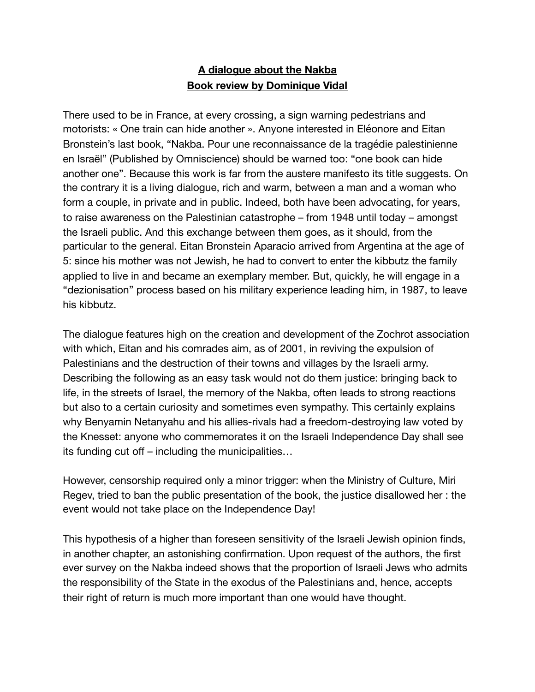## **A dialogue about the Nakba Book review by Dominique Vidal**

There used to be in France, at every crossing, a sign warning pedestrians and motorists: « One train can hide another ». Anyone interested in Eléonore and Eitan Bronstein's last book, "Nakba. Pour une reconnaissance de la tragédie palestinienne en Israël" (Published by Omniscience) should be warned too: "one book can hide another one". Because this work is far from the austere manifesto its title suggests. On the contrary it is a living dialogue, rich and warm, between a man and a woman who form a couple, in private and in public. Indeed, both have been advocating, for years, to raise awareness on the Palestinian catastrophe – from 1948 until today – amongst the Israeli public. And this exchange between them goes, as it should, from the particular to the general. Eitan Bronstein Aparacio arrived from Argentina at the age of 5: since his mother was not Jewish, he had to convert to enter the kibbutz the family applied to live in and became an exemplary member. But, quickly, he will engage in a "dezionisation" process based on his military experience leading him, in 1987, to leave his kibbutz.

The dialogue features high on the creation and development of the Zochrot association with which, Eitan and his comrades aim, as of 2001, in reviving the expulsion of Palestinians and the destruction of their towns and villages by the Israeli army. Describing the following as an easy task would not do them justice: bringing back to life, in the streets of Israel, the memory of the Nakba, often leads to strong reactions but also to a certain curiosity and sometimes even sympathy. This certainly explains why Benyamin Netanyahu and his allies-rivals had a freedom-destroying law voted by the Knesset: anyone who commemorates it on the Israeli Independence Day shall see its funding cut off – including the municipalities…

However, censorship required only a minor trigger: when the Ministry of Culture, Miri Regev, tried to ban the public presentation of the book, the justice disallowed her : the event would not take place on the Independence Day!

This hypothesis of a higher than foreseen sensitivity of the Israeli Jewish opinion finds, in another chapter, an astonishing confirmation. Upon request of the authors, the first ever survey on the Nakba indeed shows that the proportion of Israeli Jews who admits the responsibility of the State in the exodus of the Palestinians and, hence, accepts their right of return is much more important than one would have thought.